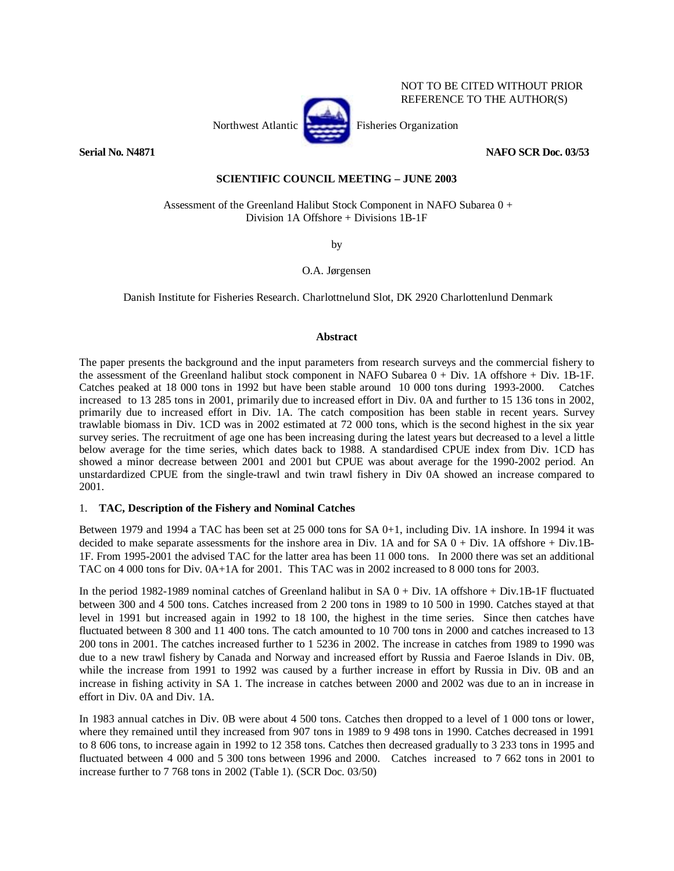

NOT TO BE CITED WITHOUT PRIOR REFERENCE TO THE AUTHOR(S)

## **Serial No. N4871 NAFO SCR Doc. 03/53**

# **SCIENTIFIC COUNCIL MEETING – JUNE 2003**

 Assessment of the Greenland Halibut Stock Component in NAFO Subarea 0 + Division 1A Offshore + Divisions 1B-1F

by

O.A. Jørgensen

Danish Institute for Fisheries Research. Charlottnelund Slot, DK 2920 Charlottenlund Denmark

## **Abstract**

The paper presents the background and the input parameters from research surveys and the commercial fishery to the assessment of the Greenland halibut stock component in NAFO Subarea 0 + Div. 1A offshore + Div. 1B-1F. Catches peaked at 18 000 tons in 1992 but have been stable around 10 000 tons during 1993-2000. Catches increased to 13 285 tons in 2001, primarily due to increased effort in Div. 0A and further to 15 136 tons in 2002, primarily due to increased effort in Div. 1A. The catch composition has been stable in recent years. Survey trawlable biomass in Div. 1CD was in 2002 estimated at 72 000 tons, which is the second highest in the six year survey series. The recruitment of age one has been increasing during the latest years but decreased to a level a little below average for the time series, which dates back to 1988. A standardised CPUE index from Div. 1CD has showed a minor decrease between 2001 and 2001 but CPUE was about average for the 1990-2002 period. An unstardardized CPUE from the single-trawl and twin trawl fishery in Div 0A showed an increase compared to 2001.

# 1. **TAC, Description of the Fishery and Nominal Catches**

Between 1979 and 1994 a TAC has been set at 25 000 tons for SA 0+1, including Div. 1A inshore. In 1994 it was decided to make separate assessments for the inshore area in Div. 1A and for  $SA\ 0 + Div.$  1A offshore + Div.1B-1F. From 1995-2001 the advised TAC for the latter area has been 11 000 tons. In 2000 there was set an additional TAC on 4 000 tons for Div. 0A+1A for 2001. This TAC was in 2002 increased to 8 000 tons for 2003.

In the period 1982-1989 nominal catches of Greenland halibut in SA 0 + Div. 1A offshore + Div.1B-1F fluctuated between 300 and 4 500 tons. Catches increased from 2 200 tons in 1989 to 10 500 in 1990. Catches stayed at that level in 1991 but increased again in 1992 to 18 100, the highest in the time series. Since then catches have fluctuated between 8 300 and 11 400 tons. The catch amounted to 10 700 tons in 2000 and catches increased to 13 200 tons in 2001. The catches increased further to 1 5236 in 2002. The increase in catches from 1989 to 1990 was due to a new trawl fishery by Canada and Norway and increased effort by Russia and Faeroe Islands in Div. 0B, while the increase from 1991 to 1992 was caused by a further increase in effort by Russia in Div. 0B and an increase in fishing activity in SA 1. The increase in catches between 2000 and 2002 was due to an in increase in effort in Div. 0A and Div. 1A.

In 1983 annual catches in Div. 0B were about 4 500 tons. Catches then dropped to a level of 1 000 tons or lower, where they remained until they increased from 907 tons in 1989 to 9 498 tons in 1990. Catches decreased in 1991 to 8 606 tons, to increase again in 1992 to 12 358 tons. Catches then decreased gradually to 3 233 tons in 1995 and fluctuated between 4 000 and 5 300 tons between 1996 and 2000. Catches increased to 7 662 tons in 2001 to increase further to 7 768 tons in 2002 (Table 1). (SCR Doc. 03/50)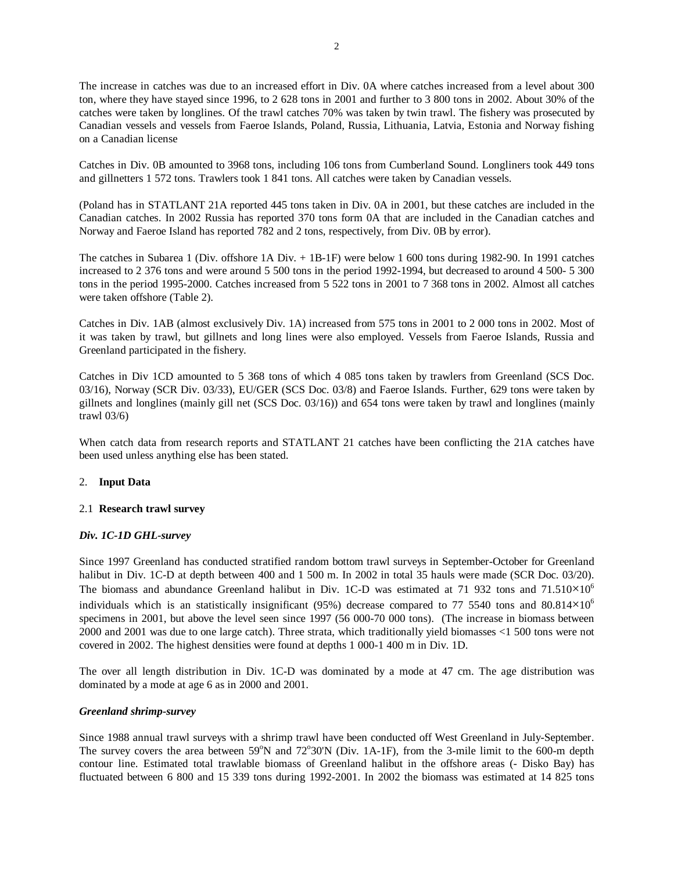The increase in catches was due to an increased effort in Div. 0A where catches increased from a level about 300 ton, where they have stayed since 1996, to 2 628 tons in 2001 and further to 3 800 tons in 2002. About 30% of the catches were taken by longlines. Of the trawl catches 70% was taken by twin trawl. The fishery was prosecuted by Canadian vessels and vessels from Faeroe Islands, Poland, Russia, Lithuania, Latvia, Estonia and Norway fishing on a Canadian license

Catches in Div. 0B amounted to 3968 tons, including 106 tons from Cumberland Sound. Longliners took 449 tons and gillnetters 1 572 tons. Trawlers took 1 841 tons. All catches were taken by Canadian vessels.

(Poland has in STATLANT 21A reported 445 tons taken in Div. 0A in 2001, but these catches are included in the Canadian catches. In 2002 Russia has reported 370 tons form 0A that are included in the Canadian catches and Norway and Faeroe Island has reported 782 and 2 tons, respectively, from Div. 0B by error).

The catches in Subarea 1 (Div. offshore 1A Div. + 1B-1F) were below 1 600 tons during 1982-90. In 1991 catches increased to 2 376 tons and were around 5 500 tons in the period 1992-1994, but decreased to around 4 500- 5 300 tons in the period 1995-2000. Catches increased from 5 522 tons in 2001 to 7 368 tons in 2002. Almost all catches were taken offshore (Table 2).

Catches in Div. 1AB (almost exclusively Div. 1A) increased from 575 tons in 2001 to 2 000 tons in 2002. Most of it was taken by trawl, but gillnets and long lines were also employed. Vessels from Faeroe Islands, Russia and Greenland participated in the fishery.

Catches in Div 1CD amounted to 5 368 tons of which 4 085 tons taken by trawlers from Greenland (SCS Doc. 03/16), Norway (SCR Div. 03/33), EU/GER (SCS Doc. 03/8) and Faeroe Islands. Further, 629 tons were taken by gillnets and longlines (mainly gill net (SCS Doc. 03/16)) and 654 tons were taken by trawl and longlines (mainly trawl 03/6)

When catch data from research reports and STATLANT 21 catches have been conflicting the 21A catches have been used unless anything else has been stated.

# 2. **Input Data**

### 2.1 **Research trawl survey**

# *Div. 1C-1D GHL-survey*

Since 1997 Greenland has conducted stratified random bottom trawl surveys in September-October for Greenland halibut in Div. 1C-D at depth between 400 and 1 500 m. In 2002 in total 35 hauls were made (SCR Doc. 03/20). The biomass and abundance Greenland halibut in Div. 1C-D was estimated at 71 932 tons and  $71.510\times10^6$ individuals which is an statistically insignificant (95%) decrease compared to 77 5540 tons and 80.814 $\times$ 10<sup>6</sup> specimens in 2001, but above the level seen since 1997 (56 000-70 000 tons). (The increase in biomass between 2000 and 2001 was due to one large catch). Three strata, which traditionally yield biomasses <1 500 tons were not covered in 2002. The highest densities were found at depths 1 000-1 400 m in Div. 1D.

The over all length distribution in Div. 1C-D was dominated by a mode at 47 cm. The age distribution was dominated by a mode at age 6 as in 2000 and 2001.

### *Greenland shrimp-survey*

Since 1988 annual trawl surveys with a shrimp trawl have been conducted off West Greenland in July-September. The survey covers the area between 59°N and 72°30'N (Div. 1A-1F), from the 3-mile limit to the 600-m depth contour line. Estimated total trawlable biomass of Greenland halibut in the offshore areas (- Disko Bay) has fluctuated between 6 800 and 15 339 tons during 1992-2001. In 2002 the biomass was estimated at 14 825 tons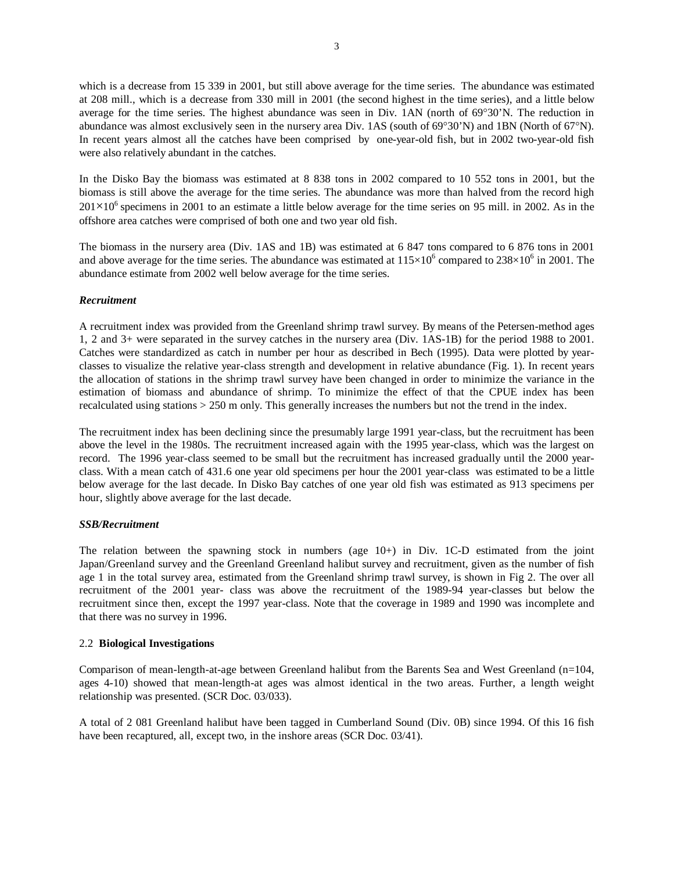which is a decrease from 15 339 in 2001, but still above average for the time series. The abundance was estimated at 208 mill., which is a decrease from 330 mill in 2001 (the second highest in the time series), and a little below average for the time series. The highest abundance was seen in Div. 1AN (north of 69°30'N. The reduction in abundance was almost exclusively seen in the nursery area Div. 1AS (south of 69°30'N) and 1BN (North of 67°N). In recent years almost all the catches have been comprised by one-year-old fish, but in 2002 two-year-old fish were also relatively abundant in the catches.

In the Disko Bay the biomass was estimated at 8 838 tons in 2002 compared to 10 552 tons in 2001, but the biomass is still above the average for the time series. The abundance was more than halved from the record high  $201\times10^6$  specimens in 2001 to an estimate a little below average for the time series on 95 mill. in 2002. As in the offshore area catches were comprised of both one and two year old fish.

The biomass in the nursery area (Div. 1AS and 1B) was estimated at 6 847 tons compared to 6 876 tons in 2001 and above average for the time series. The abundance was estimated at  $115\times10^6$  compared to  $238\times10^6$  in 2001. The abundance estimate from 2002 well below average for the time series.

### *Recruitment*

A recruitment index was provided from the Greenland shrimp trawl survey. By means of the Petersen-method ages 1, 2 and 3+ were separated in the survey catches in the nursery area (Div. 1AS-1B) for the period 1988 to 2001. Catches were standardized as catch in number per hour as described in Bech (1995). Data were plotted by yearclasses to visualize the relative year-class strength and development in relative abundance (Fig. 1). In recent years the allocation of stations in the shrimp trawl survey have been changed in order to minimize the variance in the estimation of biomass and abundance of shrimp. To minimize the effect of that the CPUE index has been recalculated using stations > 250 m only. This generally increases the numbers but not the trend in the index.

The recruitment index has been declining since the presumably large 1991 year-class, but the recruitment has been above the level in the 1980s. The recruitment increased again with the 1995 year-class, which was the largest on record. The 1996 year-class seemed to be small but the recruitment has increased gradually until the 2000 yearclass. With a mean catch of 431.6 one year old specimens per hour the 2001 year-class was estimated to be a little below average for the last decade. In Disko Bay catches of one year old fish was estimated as 913 specimens per hour, slightly above average for the last decade.

### *SSB/Recruitment*

The relation between the spawning stock in numbers (age 10+) in Div. 1C-D estimated from the joint Japan/Greenland survey and the Greenland Greenland halibut survey and recruitment, given as the number of fish age 1 in the total survey area, estimated from the Greenland shrimp trawl survey, is shown in Fig 2. The over all recruitment of the 2001 year- class was above the recruitment of the 1989-94 year-classes but below the recruitment since then, except the 1997 year-class. Note that the coverage in 1989 and 1990 was incomplete and that there was no survey in 1996.

### 2.2 **Biological Investigations**

Comparison of mean-length-at-age between Greenland halibut from the Barents Sea and West Greenland (n=104, ages 4-10) showed that mean-length-at ages was almost identical in the two areas. Further, a length weight relationship was presented. (SCR Doc. 03/033).

A total of 2 081 Greenland halibut have been tagged in Cumberland Sound (Div. 0B) since 1994. Of this 16 fish have been recaptured, all, except two, in the inshore areas (SCR Doc. 03/41).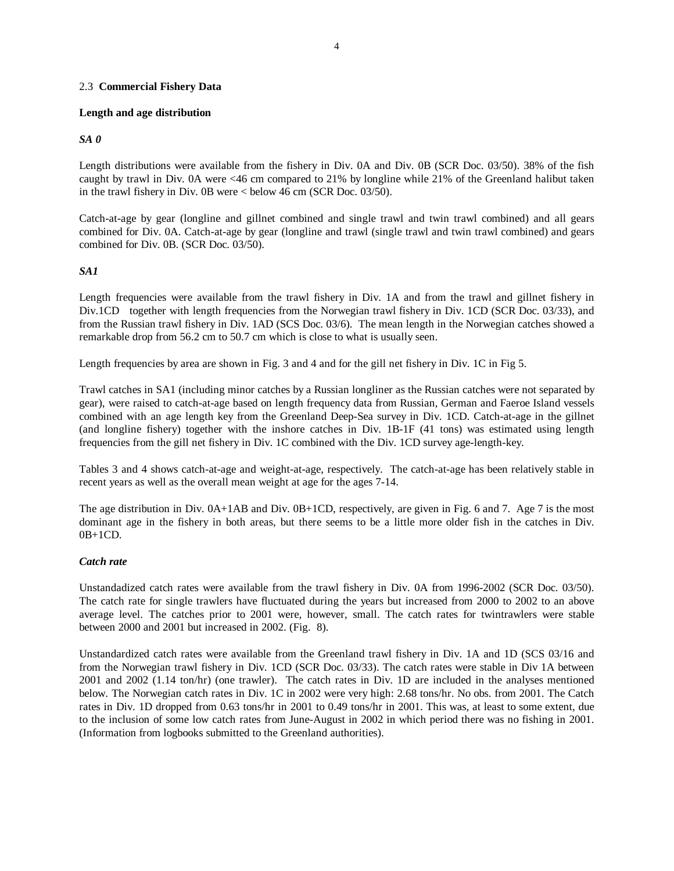### 2.3 **Commercial Fishery Data**

## **Length and age distribution**

# *SA 0*

Length distributions were available from the fishery in Div. 0A and Div. 0B (SCR Doc. 03/50). 38% of the fish caught by trawl in Div. 0A were <46 cm compared to 21% by longline while 21% of the Greenland halibut taken in the trawl fishery in Div. 0B were < below 46 cm (SCR Doc. 03/50).

Catch-at-age by gear (longline and gillnet combined and single trawl and twin trawl combined) and all gears combined for Div. 0A. Catch-at-age by gear (longline and trawl (single trawl and twin trawl combined) and gears combined for Div. 0B. (SCR Doc. 03/50).

# *SA1*

Length frequencies were available from the trawl fishery in Div. 1A and from the trawl and gillnet fishery in Div.1CD together with length frequencies from the Norwegian trawl fishery in Div. 1CD (SCR Doc. 03/33), and from the Russian trawl fishery in Div. 1AD (SCS Doc. 03/6). The mean length in the Norwegian catches showed a remarkable drop from 56.2 cm to 50.7 cm which is close to what is usually seen.

Length frequencies by area are shown in Fig. 3 and 4 and for the gill net fishery in Div. 1C in Fig 5.

Trawl catches in SA1 (including minor catches by a Russian longliner as the Russian catches were not separated by gear), were raised to catch-at-age based on length frequency data from Russian, German and Faeroe Island vessels combined with an age length key from the Greenland Deep-Sea survey in Div. 1CD. Catch-at-age in the gillnet (and longline fishery) together with the inshore catches in Div. 1B-1F (41 tons) was estimated using length frequencies from the gill net fishery in Div. 1C combined with the Div. 1CD survey age-length-key.

Tables 3 and 4 shows catch-at-age and weight-at-age, respectively. The catch-at-age has been relatively stable in recent years as well as the overall mean weight at age for the ages 7-14.

The age distribution in Div. 0A+1AB and Div. 0B+1CD, respectively, are given in Fig. 6 and 7. Age 7 is the most dominant age in the fishery in both areas, but there seems to be a little more older fish in the catches in Div.  $0B+1CD$ .

# *Catch rate*

Unstandadized catch rates were available from the trawl fishery in Div. 0A from 1996-2002 (SCR Doc. 03/50). The catch rate for single trawlers have fluctuated during the years but increased from 2000 to 2002 to an above average level. The catches prior to 2001 were, however, small. The catch rates for twintrawlers were stable between 2000 and 2001 but increased in 2002. (Fig. 8).

Unstandardized catch rates were available from the Greenland trawl fishery in Div. 1A and 1D (SCS 03/16 and from the Norwegian trawl fishery in Div. 1CD (SCR Doc. 03/33). The catch rates were stable in Div 1A between 2001 and 2002 (1.14 ton/hr) (one trawler). The catch rates in Div. 1D are included in the analyses mentioned below. The Norwegian catch rates in Div. 1C in 2002 were very high: 2.68 tons/hr. No obs. from 2001. The Catch rates in Div. 1D dropped from 0.63 tons/hr in 2001 to 0.49 tons/hr in 2001. This was, at least to some extent, due to the inclusion of some low catch rates from June-August in 2002 in which period there was no fishing in 2001. (Information from logbooks submitted to the Greenland authorities).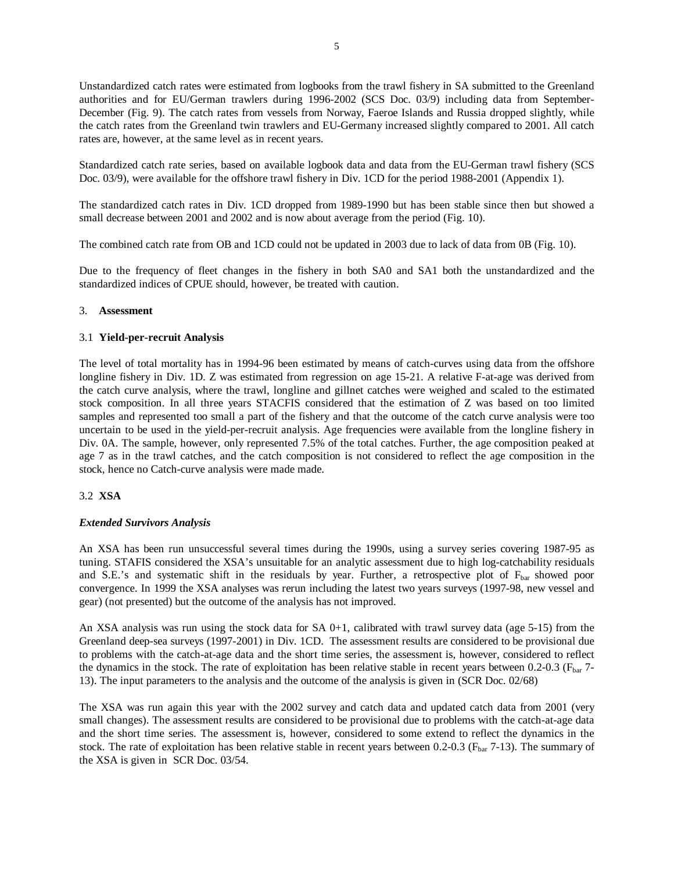Unstandardized catch rates were estimated from logbooks from the trawl fishery in SA submitted to the Greenland authorities and for EU/German trawlers during 1996-2002 (SCS Doc. 03/9) including data from September-December (Fig. 9). The catch rates from vessels from Norway, Faeroe Islands and Russia dropped slightly, while the catch rates from the Greenland twin trawlers and EU-Germany increased slightly compared to 2001. All catch rates are, however, at the same level as in recent years.

Standardized catch rate series, based on available logbook data and data from the EU-German trawl fishery (SCS Doc. 03/9), were available for the offshore trawl fishery in Div. 1CD for the period 1988-2001 (Appendix 1).

The standardized catch rates in Div. 1CD dropped from 1989-1990 but has been stable since then but showed a small decrease between 2001 and 2002 and is now about average from the period (Fig. 10).

The combined catch rate from OB and 1CD could not be updated in 2003 due to lack of data from 0B (Fig. 10).

Due to the frequency of fleet changes in the fishery in both SA0 and SA1 both the unstandardized and the standardized indices of CPUE should, however, be treated with caution.

### 3. **Assessment**

## 3.1 **Yield-per-recruit Analysis**

The level of total mortality has in 1994-96 been estimated by means of catch-curves using data from the offshore longline fishery in Div. 1D. Z was estimated from regression on age 15-21. A relative F-at-age was derived from the catch curve analysis, where the trawl, longline and gillnet catches were weighed and scaled to the estimated stock composition. In all three years STACFIS considered that the estimation of Z was based on too limited samples and represented too small a part of the fishery and that the outcome of the catch curve analysis were too uncertain to be used in the yield-per-recruit analysis. Age frequencies were available from the longline fishery in Div. 0A. The sample, however, only represented 7.5% of the total catches. Further, the age composition peaked at age 7 as in the trawl catches, and the catch composition is not considered to reflect the age composition in the stock, hence no Catch-curve analysis were made made.

# 3.2 **XSA**

### *Extended Survivors Analysis*

An XSA has been run unsuccessful several times during the 1990s, using a survey series covering 1987-95 as tuning. STAFIS considered the XSA's unsuitable for an analytic assessment due to high log-catchability residuals and S.E.'s and systematic shift in the residuals by year. Further, a retrospective plot of Fbar showed poor convergence. In 1999 the XSA analyses was rerun including the latest two years surveys (1997-98, new vessel and gear) (not presented) but the outcome of the analysis has not improved.

An XSA analysis was run using the stock data for SA 0+1, calibrated with trawl survey data (age 5-15) from the Greenland deep-sea surveys (1997-2001) in Div. 1CD. The assessment results are considered to be provisional due to problems with the catch-at-age data and the short time series, the assessment is, however, considered to reflect the dynamics in the stock. The rate of exploitation has been relative stable in recent years between 0.2-0.3 (F<sub>bar</sub> 7-13). The input parameters to the analysis and the outcome of the analysis is given in (SCR Doc. 02/68)

The XSA was run again this year with the 2002 survey and catch data and updated catch data from 2001 (very small changes). The assessment results are considered to be provisional due to problems with the catch-at-age data and the short time series. The assessment is, however, considered to some extend to reflect the dynamics in the stock. The rate of exploitation has been relative stable in recent years between  $0.2$ - $0.3$  ( $F_{bar}$ 7-13). The summary of the XSA is given in SCR Doc. 03/54.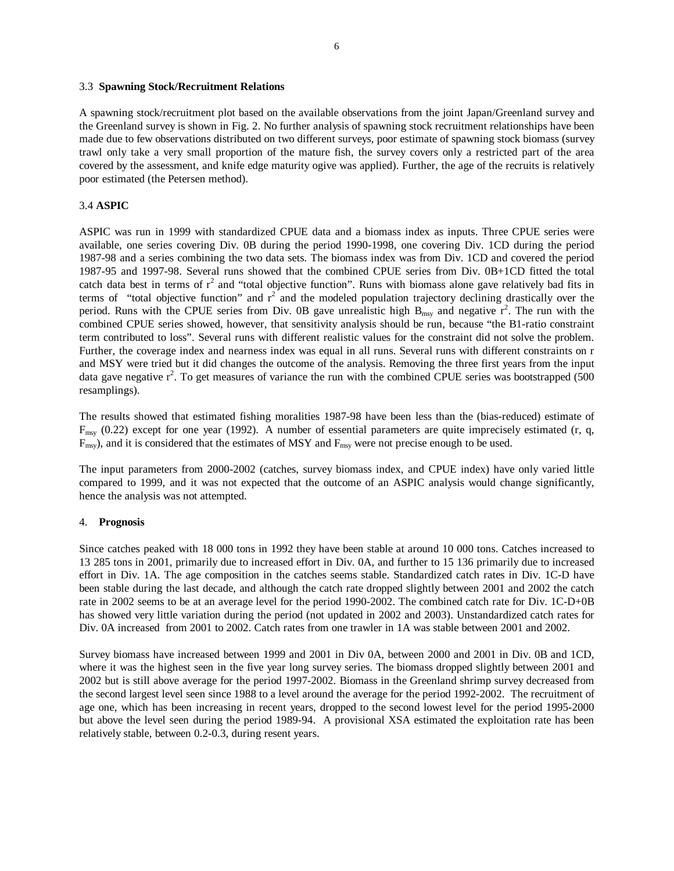#### 3.3 **Spawning Stock/Recruitment Relations**

A spawning stock/recruitment plot based on the available observations from the joint Japan/Greenland survey and the Greenland survey is shown in Fig. 2. No further analysis of spawning stock recruitment relationships have been made due to few observations distributed on two different surveys, poor estimate of spawning stock biomass (survey trawl only take a very small proportion of the mature fish, the survey covers only a restricted part of the area covered by the assessment, and knife edge maturity ogive was applied). Further, the age of the recruits is relatively poor estimated (the Petersen method).

### 3.4 **ASPIC**

ASPIC was run in 1999 with standardized CPUE data and a biomass index as inputs. Three CPUE series were available, one series covering Div. 0B during the period 1990-1998, one covering Div. 1CD during the period 1987-98 and a series combining the two data sets. The biomass index was from Div. 1CD and covered the period 1987-95 and 1997-98. Several runs showed that the combined CPUE series from Div. 0B+1CD fitted the total catch data best in terms of  $r^2$  and "total objective function". Runs with biomass alone gave relatively bad fits in terms of "total objective function" and  $r^2$  and the modeled population trajectory declining drastically over the period. Runs with the CPUE series from Div. 0B gave unrealistic high  $B_{\text{msy}}$  and negative  $r^2$ . The run with the combined CPUE series showed, however, that sensitivity analysis should be run, because "the B1-ratio constraint term contributed to loss". Several runs with different realistic values for the constraint did not solve the problem. Further, the coverage index and nearness index was equal in all runs. Several runs with different constraints on r and MSY were tried but it did changes the outcome of the analysis. Removing the three first years from the input data gave negative  $r^2$ . To get measures of variance the run with the combined CPUE series was bootstrapped (500 resamplings).

The results showed that estimated fishing moralities 1987-98 have been less than the (bias-reduced) estimate of  $F_{\text{msy}}$  (0.22) except for one year (1992). A number of essential parameters are quite imprecisely estimated (r, q,  $F_{\text{msv}}$ ), and it is considered that the estimates of MSY and  $F_{\text{msv}}$  were not precise enough to be used.

The input parameters from 2000-2002 (catches, survey biomass index, and CPUE index) have only varied little compared to 1999, and it was not expected that the outcome of an ASPIC analysis would change significantly, hence the analysis was not attempted.

#### 4. **Prognosis**

Since catches peaked with 18 000 tons in 1992 they have been stable at around 10 000 tons. Catches increased to 13 285 tons in 2001, primarily due to increased effort in Div. 0A, and further to 15 136 primarily due to increased effort in Div. 1A. The age composition in the catches seems stable. Standardized catch rates in Div. 1C-D have been stable during the last decade, and although the catch rate dropped slightly between 2001 and 2002 the catch rate in 2002 seems to be at an average level for the period 1990-2002. The combined catch rate for Div. 1C-D+0B has showed very little variation during the period (not updated in 2002 and 2003). Unstandardized catch rates for Div. 0A increased from 2001 to 2002. Catch rates from one trawler in 1A was stable between 2001 and 2002.

Survey biomass have increased between 1999 and 2001 in Div 0A, between 2000 and 2001 in Div. 0B and 1CD, where it was the highest seen in the five year long survey series. The biomass dropped slightly between 2001 and 2002 but is still above average for the period 1997-2002. Biomass in the Greenland shrimp survey decreased from the second largest level seen since 1988 to a level around the average for the period 1992-2002. The recruitment of age one, which has been increasing in recent years, dropped to the second lowest level for the period 1995-2000 but above the level seen during the period 1989-94. A provisional XSA estimated the exploitation rate has been relatively stable, between 0.2-0.3, during resent years.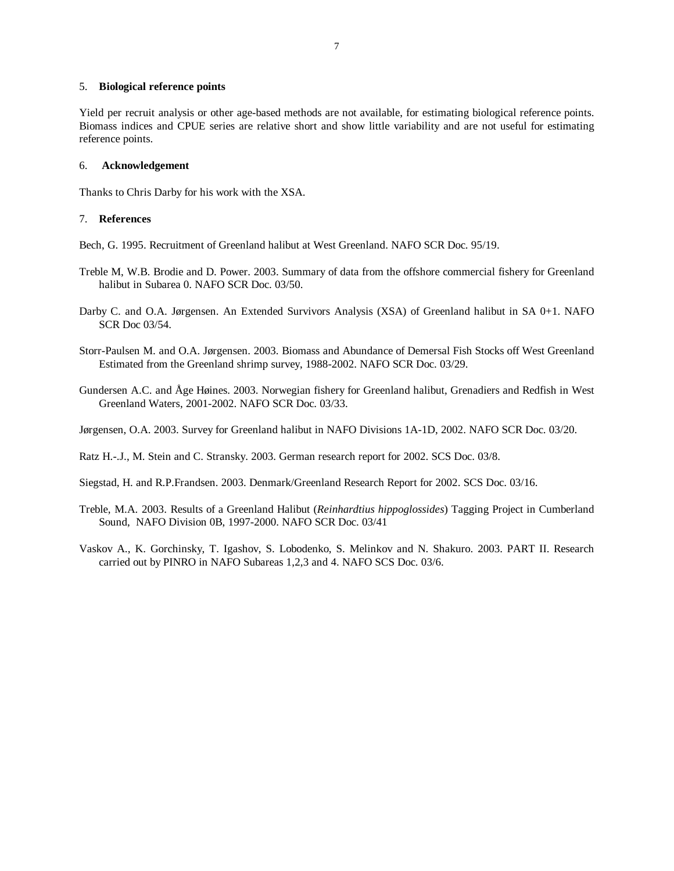#### 5. **Biological reference points**

Yield per recruit analysis or other age-based methods are not available, for estimating biological reference points. Biomass indices and CPUE series are relative short and show little variability and are not useful for estimating reference points.

#### 6. **Acknowledgement**

Thanks to Chris Darby for his work with the XSA.

## 7. **References**

Bech, G. 1995. Recruitment of Greenland halibut at West Greenland. NAFO SCR Doc. 95/19.

- Treble M, W.B. Brodie and D. Power. 2003. Summary of data from the offshore commercial fishery for Greenland halibut in Subarea 0. NAFO SCR Doc. 03/50.
- Darby C. and O.A. Jørgensen. An Extended Survivors Analysis (XSA) of Greenland halibut in SA 0+1. NAFO SCR Doc 03/54.
- Storr-Paulsen M. and O.A. Jørgensen. 2003. Biomass and Abundance of Demersal Fish Stocks off West Greenland Estimated from the Greenland shrimp survey, 1988-2002. NAFO SCR Doc. 03/29.
- Gundersen A.C. and Åge Høines. 2003. Norwegian fishery for Greenland halibut, Grenadiers and Redfish in West Greenland Waters, 2001-2002. NAFO SCR Doc. 03/33.
- Jørgensen, O.A. 2003. Survey for Greenland halibut in NAFO Divisions 1A-1D, 2002. NAFO SCR Doc. 03/20.

Ratz H.-.J., M. Stein and C. Stransky. 2003. German research report for 2002. SCS Doc. 03/8.

- Siegstad, H. and R.P.Frandsen. 2003. Denmark/Greenland Research Report for 2002. SCS Doc. 03/16.
- Treble, M.A. 2003. Results of a Greenland Halibut (*Reinhardtius hippoglossides*) Tagging Project in Cumberland Sound, NAFO Division 0B, 1997-2000. NAFO SCR Doc. 03/41
- Vaskov A., K. Gorchinsky, T. Igashov, S. Lobodenko, S. Melinkov and N. Shakuro. 2003. PART II. Research carried out by PINRO in NAFO Subareas 1,2,3 and 4. NAFO SCS Doc. 03/6.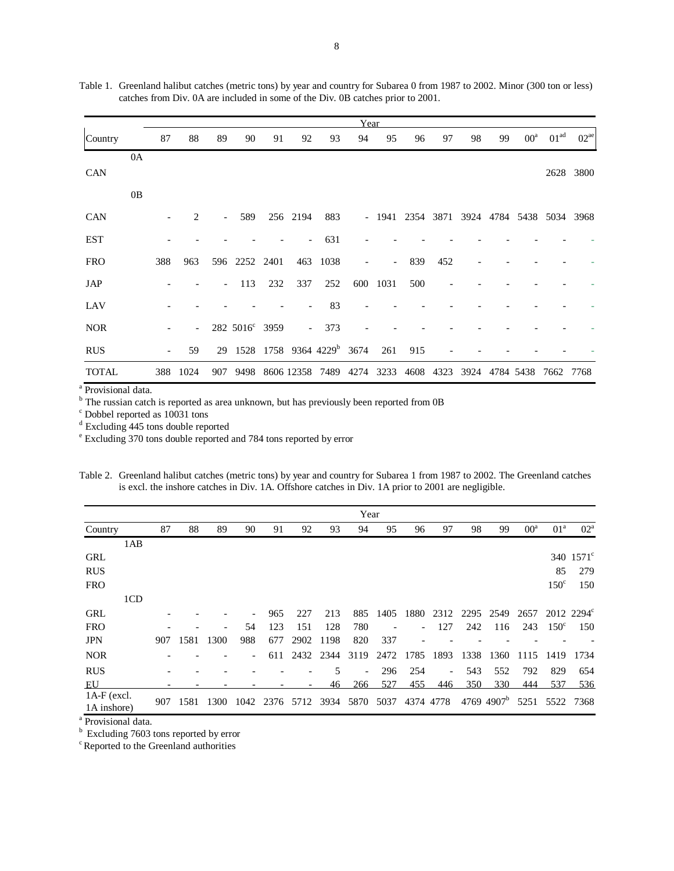|              |    |     |                |                             |                |     |                          |                                       | Year |                          |                                           |      |    |    |                     |                  |           |
|--------------|----|-----|----------------|-----------------------------|----------------|-----|--------------------------|---------------------------------------|------|--------------------------|-------------------------------------------|------|----|----|---------------------|------------------|-----------|
| Country      |    | 87  | 88             | 89                          | 90             | 91  | 92                       | 93                                    | 94   | 95                       | 96                                        | 97   | 98 | 99 | $00^{\rm a}$        | 01 <sup>ad</sup> | $02^{ae}$ |
|              | 0A |     |                |                             |                |     |                          |                                       |      |                          |                                           |      |    |    |                     |                  |           |
| <b>CAN</b>   |    |     |                |                             |                |     |                          |                                       |      |                          |                                           |      |    |    |                     |                  | 2628 3800 |
|              | 0B |     |                |                             |                |     |                          |                                       |      |                          |                                           |      |    |    |                     |                  |           |
| <b>CAN</b>   |    |     | 2              | $\mathcal{L}^{\mathcal{L}}$ | 589            |     | 256 2194                 | 883                                   |      |                          | - 1941 2354 3871 3924 4784 5438 5034 3968 |      |    |    |                     |                  |           |
| <b>EST</b>   |    |     |                |                             |                |     | $\overline{\phantom{a}}$ | 631                                   |      |                          |                                           |      |    |    |                     |                  |           |
| <b>FRO</b>   |    | 388 | 963            |                             | 596 2252 2401  |     | 463                      | 1038                                  |      | $\overline{\phantom{a}}$ | 839                                       | 452  |    |    |                     |                  |           |
| JAP          |    |     |                |                             | 113            | 232 | 337                      | 252                                   | 600  | 1031                     | 500                                       |      |    |    |                     |                  |           |
| LAV          |    |     |                |                             |                |     |                          | 83                                    |      |                          |                                           |      |    |    |                     |                  |           |
| <b>NOR</b>   |    |     | $\overline{a}$ |                             | 282 5016° 3959 |     | $\sim$                   | 373                                   |      |                          |                                           |      |    |    |                     |                  |           |
| <b>RUS</b>   |    |     | 59             | 29                          |                |     |                          | 1528 1758 9364 4229 <sup>b</sup> 3674 |      | 261                      | 915                                       |      |    |    |                     |                  |           |
| <b>TOTAL</b> |    | 388 | 1024           | 907                         |                |     |                          | 9498 8606 12358 7489 4274             |      | 3233                     | 4608                                      | 4323 |    |    | 3924 4784 5438 7662 |                  | 7768      |

Table 1. Greenland halibut catches (metric tons) by year and country for Subarea 0 from 1987 to 2002. Minor (300 ton or less) catches from Div. 0A are included in some of the Div. 0B catches prior to 2001.

<sup>a</sup> Provisional data.<br><sup>b</sup> The russian catch is reported as area unknown, but has previously been reported from 0B

c Dobbel reported as 10031 tons

<sup>d</sup> Excluding 445 tons double reported

e Excluding 370 tons double reported and 784 tons reported by error

Table 2. Greenland halibut catches (metric tons) by year and country for Subarea 1 from 1987 to 2002. The Greenland catches is excl. the inshore catches in Div. 1A. Offshore catches in Div. 1A prior to 2001 are negligible.

|                            |     |     |      |      |     |                |      |      | Year |      |      |                          |      |                        |        |                 |                    |
|----------------------------|-----|-----|------|------|-----|----------------|------|------|------|------|------|--------------------------|------|------------------------|--------|-----------------|--------------------|
| Country                    |     | 87  | 88   | 89   | 90  | 91             | 92   | 93   | 94   | 95   | 96   | 97                       | 98   | 99                     | $00^a$ | 01 <sup>a</sup> | $02^{\rm a}$       |
|                            | 1AB |     |      |      |     |                |      |      |      |      |      |                          |      |                        |        |                 |                    |
| <b>GRL</b>                 |     |     |      |      |     |                |      |      |      |      |      |                          |      |                        |        |                 | 340 $1571^{\circ}$ |
| <b>RUS</b>                 |     |     |      |      |     |                |      |      |      |      |      |                          |      |                        |        | 85              | 279                |
| <b>FRO</b>                 |     |     |      |      |     |                |      |      |      |      |      |                          |      |                        |        | $150^{\circ}$   | 150                |
|                            | 1CD |     |      |      |     |                |      |      |      |      |      |                          |      |                        |        |                 |                    |
| <b>GRL</b>                 |     |     |      |      |     | 965            | 227  | 213  | 885  | 1405 | 1880 | 2312                     | 2295 | 2549                   | 2657   |                 | 2012 2294°         |
| <b>FRO</b>                 |     |     |      |      | 54  | 123            | 151  | 128  | 780  |      |      | 127                      | 242  | 116                    | 243    | $150^{\circ}$   | 150                |
| <b>JPN</b>                 |     | 907 | 1581 | 1300 | 988 | 677            | 2902 | 1198 | 820  | 337  |      |                          |      |                        |        |                 |                    |
| <b>NOR</b>                 |     |     |      |      |     | 611            | 2432 | 2344 | 3119 | 2472 | 1785 | 1893                     | 1338 | 1360                   | 1115   | 1419            | 1734               |
| <b>RUS</b>                 |     |     |      |      |     |                |      | 5    |      | 296  | 254  | $\overline{\phantom{a}}$ | 543  | 552                    | 792    | 829             | 654                |
| EU                         |     |     |      |      |     |                |      | 46   | 266  | 527  | 455  | 446                      | 350  | 330                    | 444    | 537             | 536                |
| 1A-F (excl.<br>1A inshore) |     | 907 | 1581 | 1300 |     | 1042 2376 5712 |      | 3934 | 5870 | 5037 |      | 4374 4778                |      | 4769 4907 <sup>b</sup> | 5251   | 5522            | 7368               |

<sup>a</sup> Provisional data.

<sup>b</sup> Excluding 7603 tons reported by error

<sup>c</sup> Reported to the Greenland authorities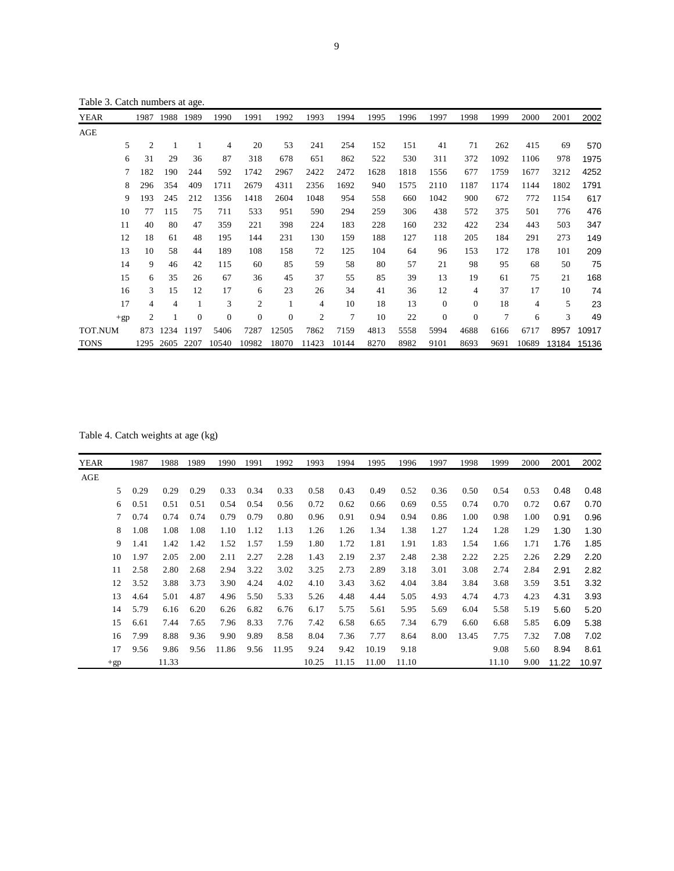Table 3. Catch numbers at age.

| YEAR        |       | 1987           | 1988 | 1989         | 1990           | 1991         | 1992             | 1993           | 1994           | 1995 | 1996 | 1997             | 1998             | 1999 | 2000  | 2001  | 2002  |
|-------------|-------|----------------|------|--------------|----------------|--------------|------------------|----------------|----------------|------|------|------------------|------------------|------|-------|-------|-------|
| AGE         |       |                |      |              |                |              |                  |                |                |      |      |                  |                  |      |       |       |       |
|             | 5     | $\overline{2}$ |      | $\mathbf{1}$ | $\overline{4}$ | 20           | 53               | 241            | 254            | 152  | 151  | 41               | 71               | 262  | 415   | 69    | 570   |
|             | 6     | 31             | 29   | 36           | 87             | 318          | 678              | 651            | 862            | 522  | 530  | 311              | 372              | 1092 | 1106  | 978   | 1975  |
|             |       | 182            | 190  | 244          | 592            | 1742         | 2967             | 2422           | 2472           | 1628 | 1818 | 1556             | 677              | 1759 | 1677  | 3212  | 4252  |
|             | 8     | 296            | 354  | 409          | 1711           | 2679         | 4311             | 2356           | 1692           | 940  | 1575 | 2110             | 1187             | 1174 | 1144  | 1802  | 1791  |
|             | 9     | 193            | 245  | 212          | 1356           | 1418         | 2604             | 1048           | 954            | 558  | 660  | 1042             | 900              | 672  | 772   | 1154  | 617   |
|             | 10    | 77             | 115  | 75           | 711            | 533          | 951              | 590            | 294            | 259  | 306  | 438              | 572              | 375  | 501   | 776   | 476   |
|             | 11    | 40             | 80   | 47           | 359            | 221          | 398              | 224            | 183            | 228  | 160  | 232              | 422              | 234  | 443   | 503   | 347   |
|             | 12    | 18             | 61   | 48           | 195            | 144          | 231              | 130            | 159            | 188  | 127  | 118              | 205              | 184  | 291   | 273   | 149   |
|             | 13    | 10             | 58   | 44           | 189            | 108          | 158              | 72             | 125            | 104  | 64   | 96               | 153              | 172  | 178   | 101   | 209   |
|             | 14    | 9              | 46   | 42           | 115            | 60           | 85               | 59             | 58             | 80   | 57   | 21               | 98               | 95   | 68    | 50    | 75    |
|             | 15    | 6              | 35   | 26           | 67             | 36           | 45               | 37             | 55             | 85   | 39   | 13               | 19               | 61   | 75    | 21    | 168   |
|             | 16    | 3              | 15   | 12           | 17             | 6            | 23               | 26             | 34             | 41   | 36   | 12               | $\overline{4}$   | 37   | 17    | 10    | 74    |
|             | 17    | 4              | 4    | 1            | 3              | 2            | $\mathbf{1}$     | 4              | 10             | 18   | 13   | $\boldsymbol{0}$ | $\boldsymbol{0}$ | 18   | 4     | 5     | 23    |
|             | $+gp$ | 2              |      | $\theta$     | $\overline{0}$ | $\mathbf{0}$ | $\boldsymbol{0}$ | $\mathfrak{2}$ | $\overline{7}$ | 10   | 22   | $\boldsymbol{0}$ | $\mathbf{0}$     | 7    | 6     | 3     | 49    |
| TOT.NUM     |       | 873            | 1234 | 1197         | 5406           | 7287         | 12505            | 7862           | 7159           | 4813 | 5558 | 5994             | 4688             | 6166 | 6717  | 8957  | 10917 |
| <b>TONS</b> |       | 1295           | 2605 | 2207         | 10540          | 10982        | 18070            | 11423          | 10144          | 8270 | 8982 | 9101             | 8693             | 9691 | 10689 | 13184 | 15136 |

Table 4. Catch weights at age (kg)

| YEAR |       | 1987 | 1988  | 1989 | 1990  | 1991 | 1992  | 1993  | 1994  | 1995  | 1996  | 1997 | 1998  | 1999  | 2000 | 2001  | 2002  |
|------|-------|------|-------|------|-------|------|-------|-------|-------|-------|-------|------|-------|-------|------|-------|-------|
| AGE  |       |      |       |      |       |      |       |       |       |       |       |      |       |       |      |       |       |
|      | 5     | 0.29 | 0.29  | 0.29 | 0.33  | 0.34 | 0.33  | 0.58  | 0.43  | 0.49  | 0.52  | 0.36 | 0.50  | 0.54  | 0.53 | 0.48  | 0.48  |
|      | 6     | 0.51 | 0.51  | 0.51 | 0.54  | 0.54 | 0.56  | 0.72  | 0.62  | 0.66  | 0.69  | 0.55 | 0.74  | 0.70  | 0.72 | 0.67  | 0.70  |
|      | 7     | 0.74 | 0.74  | 0.74 | 0.79  | 0.79 | 0.80  | 0.96  | 0.91  | 0.94  | 0.94  | 0.86 | 1.00  | 0.98  | 1.00 | 0.91  | 0.96  |
|      | 8     | 1.08 | 1.08  | 1.08 | 1.10  | 1.12 | 1.13  | 1.26  | 1.26  | 1.34  | 1.38  | 1.27 | 1.24  | 1.28  | 1.29 | 1.30  | 1.30  |
|      | 9     | 1.41 | 1.42  | 1.42 | 1.52  | 1.57 | 1.59  | 1.80  | 1.72  | 1.81  | 1.91  | 1.83 | 1.54  | 1.66  | 1.71 | 1.76  | 1.85  |
|      | 10    | 1.97 | 2.05  | 2.00 | 2.11  | 2.27 | 2.28  | 1.43  | 2.19  | 2.37  | 2.48  | 2.38 | 2.22  | 2.25  | 2.26 | 2.29  | 2.20  |
|      | 11    | 2.58 | 2.80  | 2.68 | 2.94  | 3.22 | 3.02  | 3.25  | 2.73  | 2.89  | 3.18  | 3.01 | 3.08  | 2.74  | 2.84 | 2.91  | 2.82  |
|      | 12    | 3.52 | 3.88  | 3.73 | 3.90  | 4.24 | 4.02  | 4.10  | 3.43  | 3.62  | 4.04  | 3.84 | 3.84  | 3.68  | 3.59 | 3.51  | 3.32  |
|      | 13    | 4.64 | 5.01  | 4.87 | 4.96  | 5.50 | 5.33  | 5.26  | 4.48  | 4.44  | 5.05  | 4.93 | 4.74  | 4.73  | 4.23 | 4.31  | 3.93  |
|      | 14    | 5.79 | 6.16  | 6.20 | 6.26  | 6.82 | 6.76  | 6.17  | 5.75  | 5.61  | 5.95  | 5.69 | 6.04  | 5.58  | 5.19 | 5.60  | 5.20  |
|      | 15    | 6.61 | 7.44  | 7.65 | 7.96  | 8.33 | 7.76  | 7.42  | 6.58  | 6.65  | 7.34  | 6.79 | 6.60  | 6.68  | 5.85 | 6.09  | 5.38  |
|      | 16    | 7.99 | 8.88  | 9.36 | 9.90  | 9.89 | 8.58  | 8.04  | 7.36  | 7.77  | 8.64  | 8.00 | 13.45 | 7.75  | 7.32 | 7.08  | 7.02  |
|      | 17    | 9.56 | 9.86  | 9.56 | 11.86 | 9.56 | 11.95 | 9.24  | 9.42  | 10.19 | 9.18  |      |       | 9.08  | 5.60 | 8.94  | 8.61  |
|      | $+gp$ |      | 11.33 |      |       |      |       | 10.25 | 11.15 | 11.00 | 11.10 |      |       | 11.10 | 9.00 | 11.22 | 10.97 |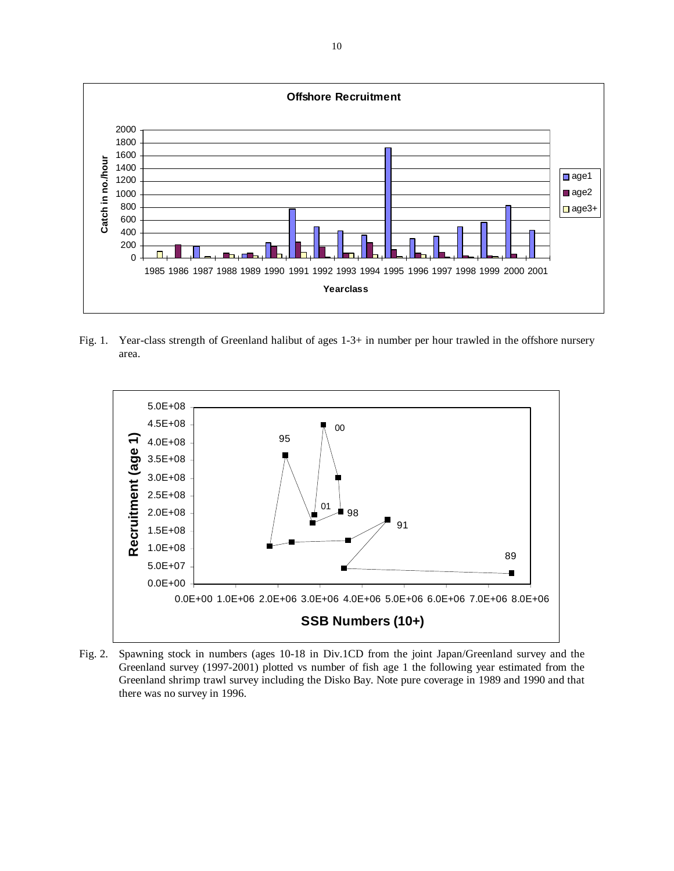

Fig. 1. Year-class strength of Greenland halibut of ages 1-3+ in number per hour trawled in the offshore nursery area.



Fig. 2. Spawning stock in numbers (ages 10-18 in Div.1CD from the joint Japan/Greenland survey and the Greenland survey (1997-2001) plotted vs number of fish age 1 the following year estimated from the Greenland shrimp trawl survey including the Disko Bay. Note pure coverage in 1989 and 1990 and that there was no survey in 1996.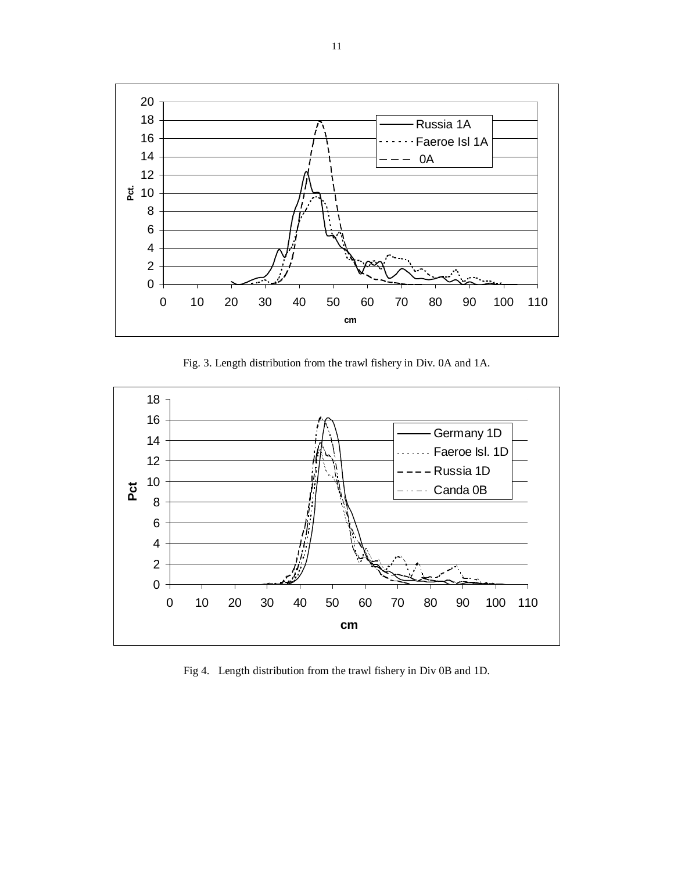

Fig. 3. Length distribution from the trawl fishery in Div. 0A and 1A.



Fig 4. Length distribution from the trawl fishery in Div 0B and 1D.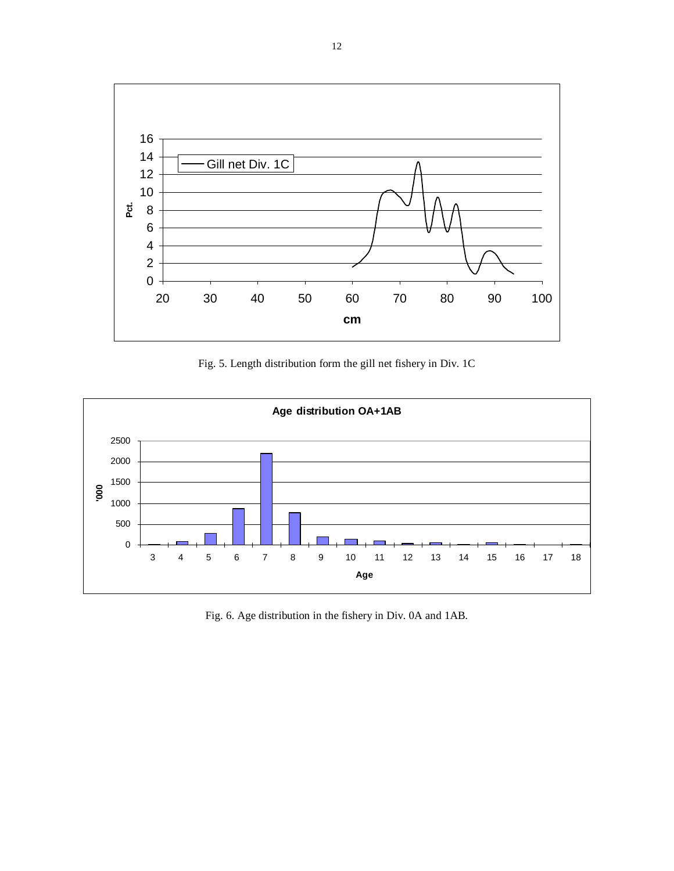

Fig. 5. Length distribution form the gill net fishery in Div. 1C



Fig. 6. Age distribution in the fishery in Div. 0A and 1AB.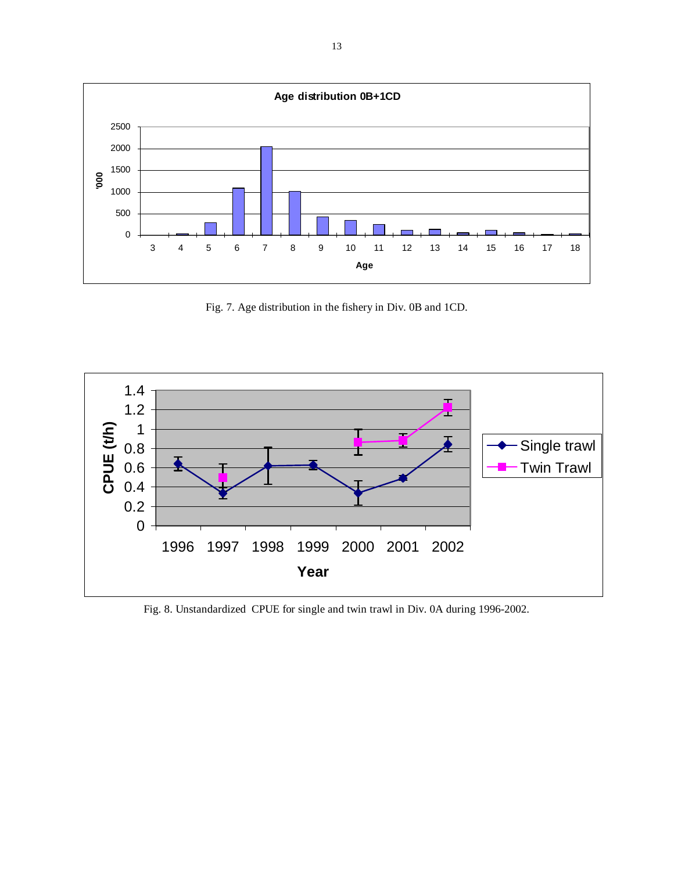

Fig. 7. Age distribution in the fishery in Div. 0B and 1CD.



Fig. 8. Unstandardized CPUE for single and twin trawl in Div. 0A during 1996-2002.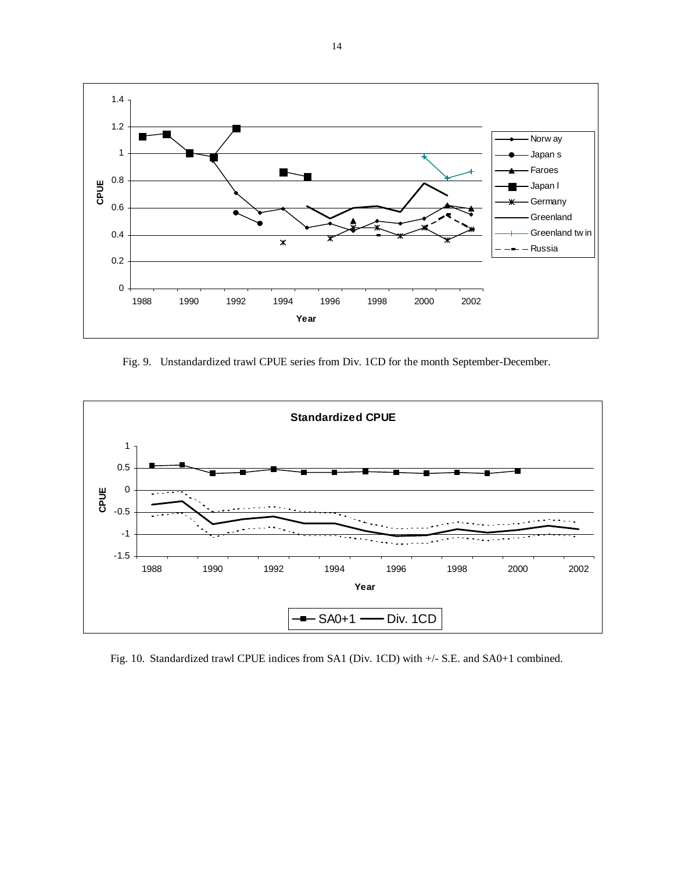

Fig. 9. Unstandardized trawl CPUE series from Div. 1CD for the month September-December.



Fig. 10. Standardized trawl CPUE indices from SA1 (Div. 1CD) with +/- S.E. and SA0+1 combined.

14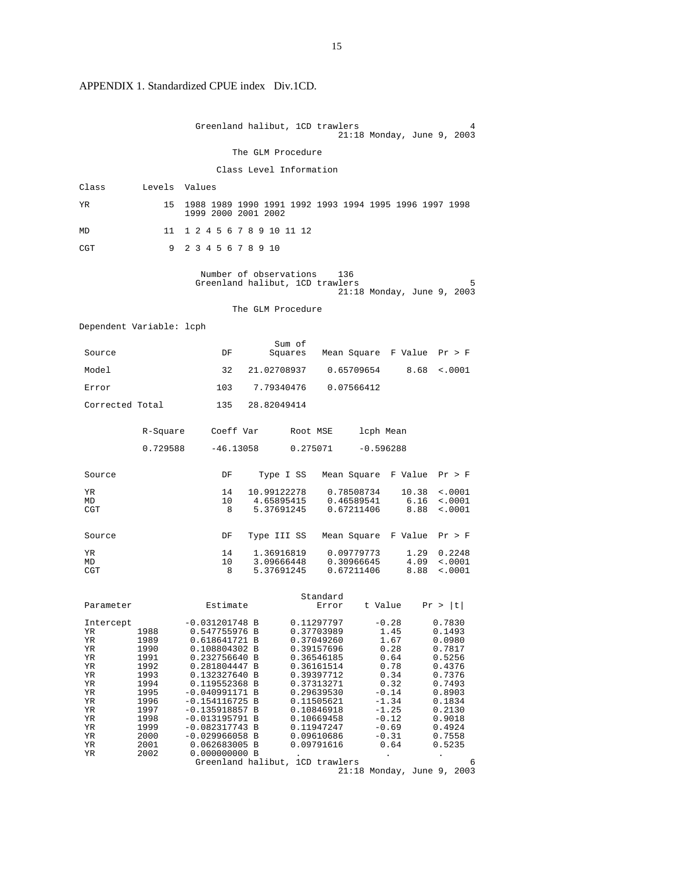# APPENDIX 1. Standardized CPUE index Div.1CD.

|                                                                                                                                                                                                                             | Greenland halibut, 1CD trawlers<br>4<br>21:18 Monday, June 9, 2003                                                                                                                                                                                                                                                                                                                                                                                                                                                                                                                                                                                                                                                                                                                                                                                                                           |  |
|-----------------------------------------------------------------------------------------------------------------------------------------------------------------------------------------------------------------------------|----------------------------------------------------------------------------------------------------------------------------------------------------------------------------------------------------------------------------------------------------------------------------------------------------------------------------------------------------------------------------------------------------------------------------------------------------------------------------------------------------------------------------------------------------------------------------------------------------------------------------------------------------------------------------------------------------------------------------------------------------------------------------------------------------------------------------------------------------------------------------------------------|--|
|                                                                                                                                                                                                                             | The GLM Procedure                                                                                                                                                                                                                                                                                                                                                                                                                                                                                                                                                                                                                                                                                                                                                                                                                                                                            |  |
|                                                                                                                                                                                                                             | Class Level Information                                                                                                                                                                                                                                                                                                                                                                                                                                                                                                                                                                                                                                                                                                                                                                                                                                                                      |  |
| Class<br>Levels Values                                                                                                                                                                                                      |                                                                                                                                                                                                                                                                                                                                                                                                                                                                                                                                                                                                                                                                                                                                                                                                                                                                                              |  |
| YR<br>15                                                                                                                                                                                                                    | 1988 1989 1990 1991 1992 1993 1994 1995 1996 1997 1998<br>1999 2000 2001 2002                                                                                                                                                                                                                                                                                                                                                                                                                                                                                                                                                                                                                                                                                                                                                                                                                |  |
| 11<br>MD                                                                                                                                                                                                                    | 1 2 4 5 6 7 8 9 10 11 12                                                                                                                                                                                                                                                                                                                                                                                                                                                                                                                                                                                                                                                                                                                                                                                                                                                                     |  |
| CGT<br>9                                                                                                                                                                                                                    | 2 3 4 5 6 7 8 9 10                                                                                                                                                                                                                                                                                                                                                                                                                                                                                                                                                                                                                                                                                                                                                                                                                                                                           |  |
|                                                                                                                                                                                                                             | Number of observations<br>136<br>Greenland halibut, 1CD trawlers<br>5<br>$21:18$ Monday, June 9, 2003                                                                                                                                                                                                                                                                                                                                                                                                                                                                                                                                                                                                                                                                                                                                                                                        |  |
|                                                                                                                                                                                                                             | The GLM Procedure                                                                                                                                                                                                                                                                                                                                                                                                                                                                                                                                                                                                                                                                                                                                                                                                                                                                            |  |
| Dependent Variable: lcph                                                                                                                                                                                                    |                                                                                                                                                                                                                                                                                                                                                                                                                                                                                                                                                                                                                                                                                                                                                                                                                                                                                              |  |
| Source                                                                                                                                                                                                                      | Sum of<br>DF<br>Squares Mean Square F Value Pr > F                                                                                                                                                                                                                                                                                                                                                                                                                                                                                                                                                                                                                                                                                                                                                                                                                                           |  |
| Model                                                                                                                                                                                                                       | 32<br>21.02708937<br>0.65709654<br>8.68<br>< .0001                                                                                                                                                                                                                                                                                                                                                                                                                                                                                                                                                                                                                                                                                                                                                                                                                                           |  |
| Error                                                                                                                                                                                                                       | 103<br>7.79340476<br>0.07566412                                                                                                                                                                                                                                                                                                                                                                                                                                                                                                                                                                                                                                                                                                                                                                                                                                                              |  |
| Corrected Total                                                                                                                                                                                                             | 135<br>28.82049414                                                                                                                                                                                                                                                                                                                                                                                                                                                                                                                                                                                                                                                                                                                                                                                                                                                                           |  |
| R-Square                                                                                                                                                                                                                    | Coeff Var<br>lcph Mean<br>Root MSE                                                                                                                                                                                                                                                                                                                                                                                                                                                                                                                                                                                                                                                                                                                                                                                                                                                           |  |
| 0.729588                                                                                                                                                                                                                    | $-46.13058$<br>0.275071<br>$-0.596288$                                                                                                                                                                                                                                                                                                                                                                                                                                                                                                                                                                                                                                                                                                                                                                                                                                                       |  |
| Source                                                                                                                                                                                                                      | DF<br>Type I SS<br>Mean Square  F Value<br>Pr > F                                                                                                                                                                                                                                                                                                                                                                                                                                                                                                                                                                                                                                                                                                                                                                                                                                            |  |
| ΥR<br>MD<br>CGT                                                                                                                                                                                                             | 14<br>10.99122278<br>0.78508734<br>10.38<br>$\sim 0001$<br>10<br>4.65895415<br>0.46589541<br>6.16<br>< .0001<br>8<br>5.37691245<br>0.67211406<br>8.88<br>< .0001                                                                                                                                                                                                                                                                                                                                                                                                                                                                                                                                                                                                                                                                                                                             |  |
| Source                                                                                                                                                                                                                      | DF<br>Type III SS<br>Mean Square<br>F Value<br>Pr > F                                                                                                                                                                                                                                                                                                                                                                                                                                                                                                                                                                                                                                                                                                                                                                                                                                        |  |
| ΥR<br>MD<br>CGT                                                                                                                                                                                                             | 14<br>1.36916819<br>0.09779773<br>1.29<br>0.2248<br>10<br>3.09666448<br>0.30966645<br>4.09<br>< .0001<br>0.67211406<br>8.88<br>5.37691245<br>< .0001<br>8                                                                                                                                                                                                                                                                                                                                                                                                                                                                                                                                                                                                                                                                                                                                    |  |
| Parameter                                                                                                                                                                                                                   | Standard<br>Estimate<br>Pr >  t <br>t Value<br>Error                                                                                                                                                                                                                                                                                                                                                                                                                                                                                                                                                                                                                                                                                                                                                                                                                                         |  |
| Intercept<br>1988<br>YR<br>ΥR<br>1989<br>1990<br>ΥR<br>1991<br>ΥR<br>1992<br>ΥR<br>ΥR<br>1993<br>1994<br>ΥR<br>1995<br>ΥR<br>1996<br>ΥR<br>ΥR<br>1997<br>1998<br>ΥR<br>ΥR<br>1999<br>ΥR<br>2000<br>ΥR<br>2001<br>2002<br>ΥR | $-0.031201748$ B<br>0.11297797<br>$-0.28$<br>0.7830<br>0.547755976 B<br>0.37703989<br>1.45<br>0.1493<br>1.67<br>0.618641721 B<br>0.37049260<br>0.0980<br>0.108804302 B<br>0.39157696<br>0.28<br>0.7817<br>0.64<br>0.232756640 B<br>0.36546185<br>0.5256<br>0.78<br>0.281804447 B<br>0.36161514<br>0.4376<br>0.34<br>0.132327640 B<br>0.39397712<br>0.7376<br>0.32<br>0.119552368 B<br>0.37313271<br>0.7493<br>$-0.14$<br>$-0.040991171 B$<br>0.29639530<br>0.8903<br>$-1.34$<br>$-0.154116725$ B<br>0.11505621<br>0.1834<br>$-1.25$<br>$-0.135918857 B$<br>0.10846918<br>0.2130<br>$-0.12$<br>$-0.013195791 B$<br>0.10669458<br>0.9018<br>$-0.69$<br>$-0.082317743 B$<br>0.11947247<br>0.4924<br>$-0.31$<br>$-0.029966058 B$<br>0.7558<br>0.09610686<br>0.062683005 B<br>0.09791616<br>0.64<br>0.5235<br>0.000000000 B<br>Greenland halibut, 1CD trawlers<br>6<br>21:18 Monday, June 9, 2003 |  |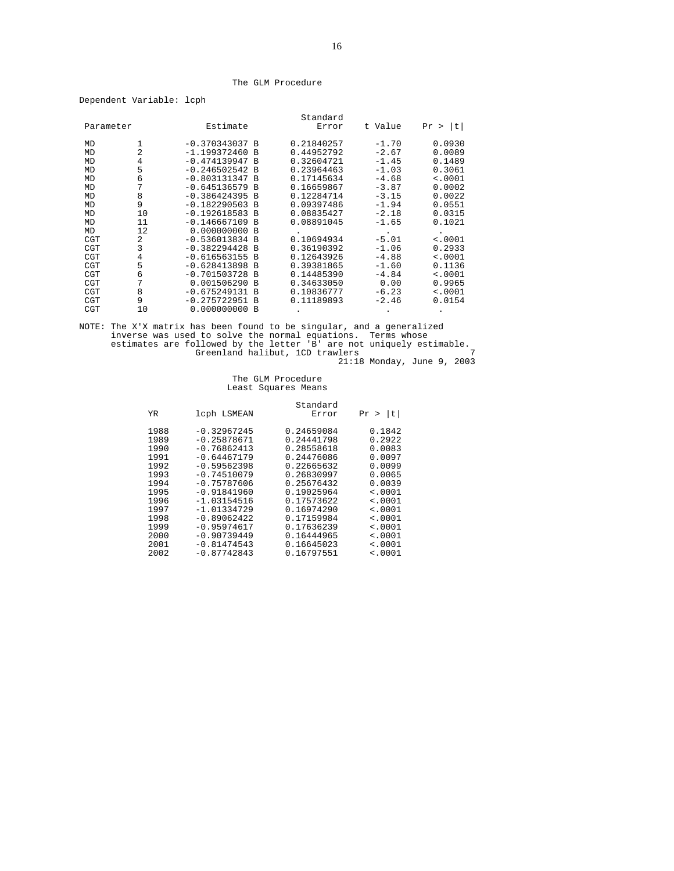#### The GLM Procedure

|  | Dependent Variable: | lcph |
|--|---------------------|------|
|--|---------------------|------|

|            |    |                  |                | Standard   |         |         |               |
|------------|----|------------------|----------------|------------|---------|---------|---------------|
| Parameter  |    | Estimate         |                | Error      | t Value |         | Pr ><br>- Itl |
| MD         |    | $-0.370343037 B$ |                | 0.21840257 |         | $-1.70$ | 0.0930        |
| MD         | 2  | $-1.199372460 B$ |                | 0.44952792 |         | $-2.67$ | 0.0089        |
| MD         | 4  | $-0.474139947 B$ |                | 0.32604721 |         | $-1.45$ | 0.1489        |
| MD         | 5  | $-0.246502542 B$ |                | 0.23964463 |         | $-1.03$ | 0.3061        |
| MD         | 6  | $-0.803131347 B$ |                | 0.17145634 |         | $-4.68$ | < .0001       |
| MD         | 7  | $-0.645136579 B$ |                | 0.16659867 |         | $-3.87$ | 0.0002        |
| MD         | 8  | $-0.386424395 B$ |                | 0.12284714 |         | $-3.15$ | 0.0022        |
| MD         | 9  | $-0.182290503$   | B              | 0.09397486 |         | $-1.94$ | 0.0551        |
| MD         | 10 | $-0.192618583 B$ |                | 0.08835427 |         | $-2.18$ | 0.0315        |
| MD         | 11 | $-0.146667109$ B |                | 0.08891045 |         | $-1.65$ | 0.1021        |
| MD         | 12 | 0.000000000B     |                |            |         |         |               |
| <b>CGT</b> | 2  | $-0.536013834 B$ |                | 0.10694934 |         | $-5.01$ | < .0001       |
| <b>CGT</b> | 3  | $-0.382294428$   | <b>B</b>       | 0.36190392 |         | $-1.06$ | 0.2933        |
| <b>CGT</b> | 4  | $-0.616563155 B$ |                | 0.12643926 |         | $-4.88$ | < .0001       |
| <b>CGT</b> | 5  | $-0.628413898 B$ |                | 0.39381865 |         | $-1.60$ | 0.1136        |
| <b>CGT</b> | 6  | $-0.701503728$   | B              | 0.14485390 |         | $-4.84$ | < .0001       |
| CGT        | 7  | 0.001506290      | B              | 0.34633050 |         | 0.00    | 0.9965        |
| <b>CGT</b> | 8  | $-0.675249131 B$ |                | 0.10836777 |         | $-6.23$ | < .0001       |
| <b>CGT</b> | 9  | $-0.275722951 B$ |                | 0.11189893 |         | $-2.46$ | 0.0154        |
| <b>CGT</b> | 10 | 0.000000000      | $\overline{B}$ |            |         |         |               |

NOTE: The X'X matrix has been found to be singular, and a generalized<br>inverse was used to solve the normal equations. Terms whose<br>estimates are followed by the letter 'B' are not uniquely estimable.<br>Greenland halibut, 1CD

# The GLM Procedure Least Squares Means

|                                                                                                                                   | Standard                                                                                                                                                             |                                                                                                                                                                                                          |                                                                                              |  |
|-----------------------------------------------------------------------------------------------------------------------------------|----------------------------------------------------------------------------------------------------------------------------------------------------------------------|----------------------------------------------------------------------------------------------------------------------------------------------------------------------------------------------------------|----------------------------------------------------------------------------------------------|--|
| t <br>Pr >                                                                                                                        | Error                                                                                                                                                                | lcph LSMEAN                                                                                                                                                                                              | YR                                                                                           |  |
| 0.1842<br>0.2922<br>0.0083<br>0.0097<br>0.0099<br>0.0065<br>0.0039<br>< .0001<br>$\leq 0001$<br>$\leq 0001$<br>< .0001<br>< .0001 | 0.24659084<br>0.24441798<br>0.28558618<br>0.24476086<br>0.22665632<br>0.26830997<br>0.25676432<br>0.19025964<br>0.17573622<br>0.16974290<br>0.17159984<br>0.17636239 | $-0.32967245$<br>$-0.25878671$<br>$-0.76862413$<br>$-0.64467179$<br>$-0.59562398$<br>$-0.74510079$<br>$-0.75787606$<br>$-0.91841960$<br>$-1.03154516$<br>$-1.01334729$<br>$-0.89062422$<br>$-0.95974617$ | 1988<br>1989<br>1990<br>1991<br>1992<br>1993<br>1994<br>1995<br>1996<br>1997<br>1998<br>1999 |  |
| < .0001<br>< .0001<br>< .0001                                                                                                     | 0.16444965<br>0.16645023<br>0.16797551                                                                                                                               | $-0.90739449$<br>$-0.81474543$<br>$-0.87742843$                                                                                                                                                          | 2000<br>2001<br>2002                                                                         |  |
|                                                                                                                                   |                                                                                                                                                                      |                                                                                                                                                                                                          |                                                                                              |  |